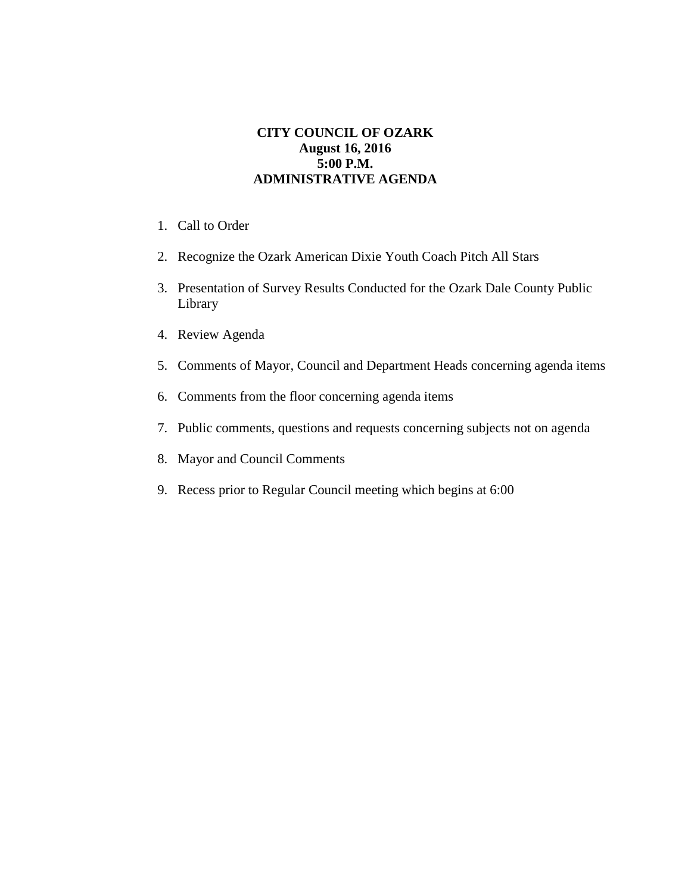## **CITY COUNCIL OF OZARK August 16, 2016 5:00 P.M. ADMINISTRATIVE AGENDA**

- 1. Call to Order
- 2. Recognize the Ozark American Dixie Youth Coach Pitch All Stars
- 3. Presentation of Survey Results Conducted for the Ozark Dale County Public Library
- 4. Review Agenda
- 5. Comments of Mayor, Council and Department Heads concerning agenda items
- 6. Comments from the floor concerning agenda items
- 7. Public comments, questions and requests concerning subjects not on agenda
- 8. Mayor and Council Comments
- 9. Recess prior to Regular Council meeting which begins at 6:00